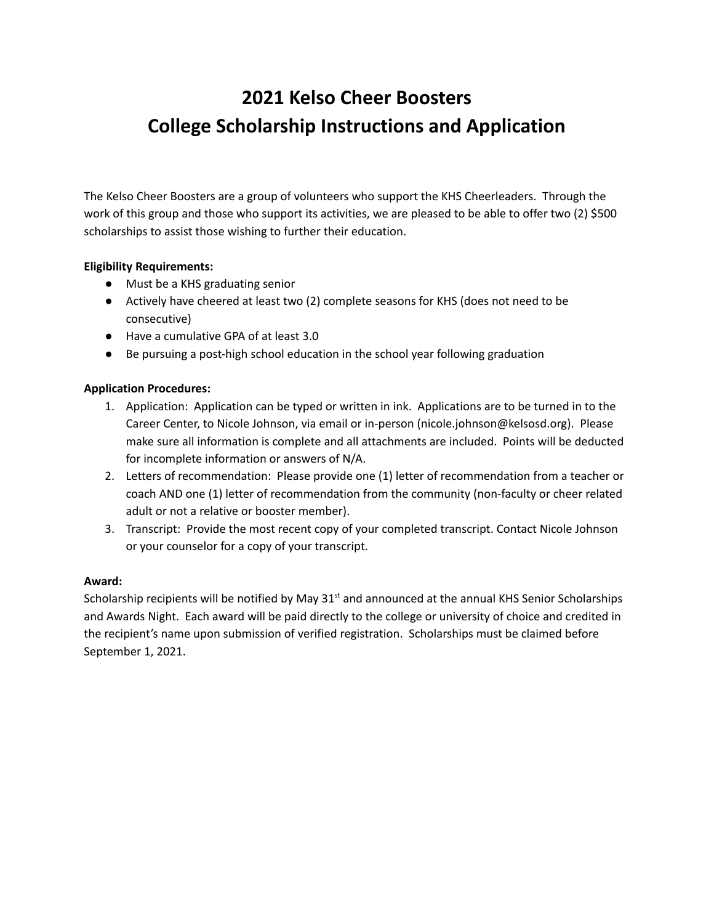# **2021 Kelso Cheer Boosters College Scholarship Instructions and Application**

The Kelso Cheer Boosters are a group of volunteers who support the KHS Cheerleaders. Through the work of this group and those who support its activities, we are pleased to be able to offer two (2) \$500 scholarships to assist those wishing to further their education.

### **Eligibility Requirements:**

- Must be a KHS graduating senior
- Actively have cheered at least two (2) complete seasons for KHS (does not need to be consecutive)
- Have a cumulative GPA of at least 3.0
- Be pursuing a post-high school education in the school year following graduation

#### **Application Procedures:**

- 1. Application: Application can be typed or written in ink. Applications are to be turned in to the Career Center, to Nicole Johnson, via email or in-person (nicole.johnson@kelsosd.org). Please make sure all information is complete and all attachments are included. Points will be deducted for incomplete information or answers of N/A.
- 2. Letters of recommendation: Please provide one (1) letter of recommendation from a teacher or coach AND one (1) letter of recommendation from the community (non-faculty or cheer related adult or not a relative or booster member).
- 3. Transcript: Provide the most recent copy of your completed transcript. Contact Nicole Johnson or your counselor for a copy of your transcript.

#### **Award:**

Scholarship recipients will be notified by May  $31<sup>st</sup>$  and announced at the annual KHS Senior Scholarships and Awards Night. Each award will be paid directly to the college or university of choice and credited in the recipient's name upon submission of verified registration. Scholarships must be claimed before September 1, 2021.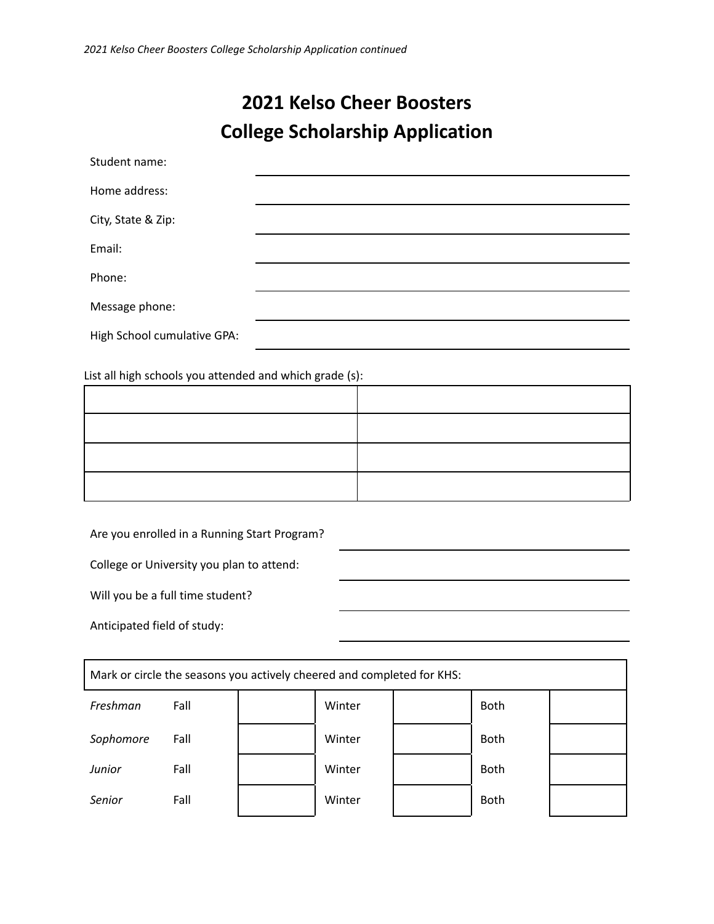## **2021 Kelso Cheer Boosters College Scholarship Application**

| Student name:               |  |
|-----------------------------|--|
| Home address:               |  |
| City, State & Zip:          |  |
| Email:                      |  |
| Phone:                      |  |
| Message phone:              |  |
| High School cumulative GPA: |  |
|                             |  |

List all high schools you attended and which grade (s):

Are you enrolled in a Running Start Program?

College or University you plan to attend:

Will you be a full time student?

Anticipated field of study:

| Mark or circle the seasons you actively cheered and completed for KHS: |      |  |        |  |             |  |  |  |
|------------------------------------------------------------------------|------|--|--------|--|-------------|--|--|--|
| Freshman                                                               | Fall |  | Winter |  | <b>Both</b> |  |  |  |
| Sophomore                                                              | Fall |  | Winter |  | <b>Both</b> |  |  |  |
| <b>Junior</b>                                                          | Fall |  | Winter |  | <b>Both</b> |  |  |  |
| Senior                                                                 | Fall |  | Winter |  | <b>Both</b> |  |  |  |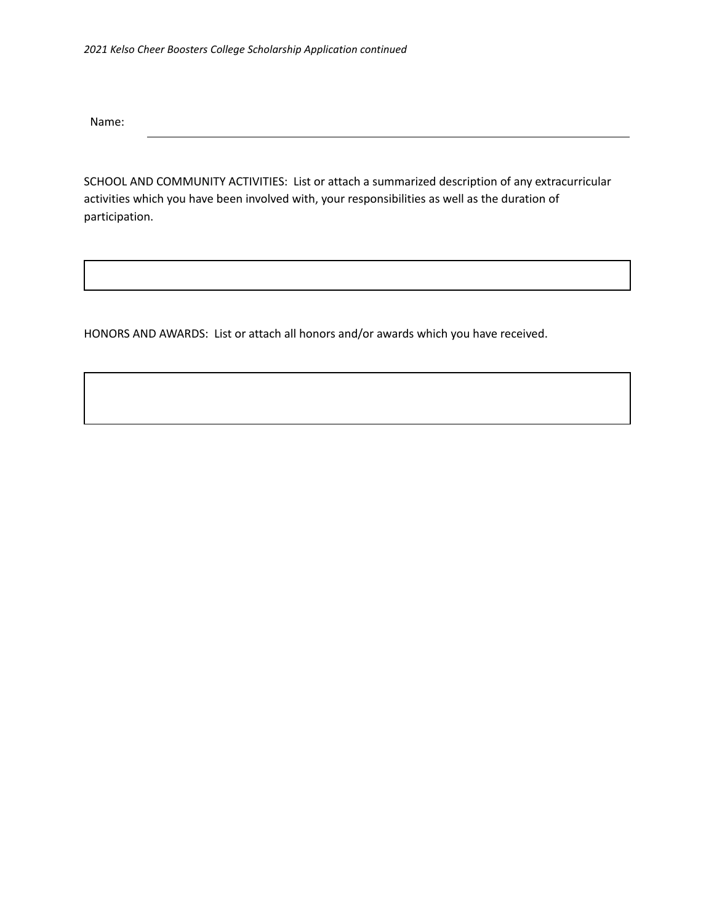Name:

SCHOOL AND COMMUNITY ACTIVITIES: List or attach a summarized description of any extracurricular activities which you have been involved with, your responsibilities as well as the duration of participation.

HONORS AND AWARDS: List or attach all honors and/or awards which you have received.